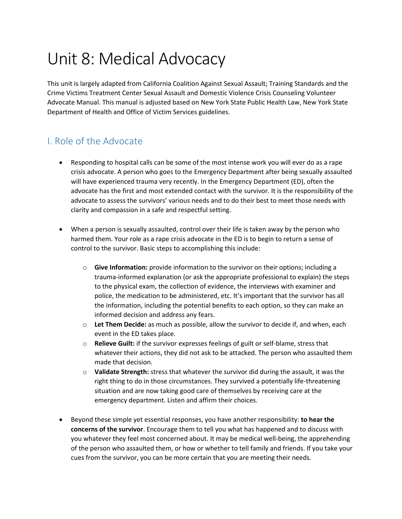# Unit 8: Medical Advocacy

This unit is largely adapted from California Coalition Against Sexual Assault; Training Standards and the Crime Victims Treatment Center Sexual Assault and Domestic Violence Crisis Counseling Volunteer Advocate Manual. This manual is adjusted based on New York State Public Health Law, New York State Department of Health and Office of Victim Services guidelines.

## I. Role of the Advocate

- Responding to hospital calls can be some of the most intense work you will ever do as a rape crisis advocate. A person who goes to the Emergency Department after being sexually assaulted will have experienced trauma very recently. In the Emergency Department (ED), often the advocate has the first and most extended contact with the survivor. It is the responsibility of the advocate to assess the survivors' various needs and to do their best to meet those needs with clarity and compassion in a safe and respectful setting.
- When a person is sexually assaulted, control over their life is taken away by the person who harmed them. Your role as a rape crisis advocate in the ED is to begin to return a sense of control to the survivor. Basic steps to accomplishing this include:
	- o **Give Information:** provide information to the survivor on their options; including a trauma-informed explanation (or ask the appropriate professional to explain) the steps to the physical exam, the collection of evidence, the interviews with examiner and police, the medication to be administered, etc. It's important that the survivor has all the information, including the potential benefits to each option, so they can make an informed decision and address any fears.
	- o **Let Them Decide:** as much as possible, allow the survivor to decide if, and when, each event in the ED takes place.
	- o **Relieve Guilt:** if the survivor expresses feelings of guilt or self-blame, stress that whatever their actions, they did not ask to be attacked. The person who assaulted them made that decision.
	- o **Validate Strength:** stress that whatever the survivor did during the assault, it was the right thing to do in those circumstances. They survived a potentially life-threatening situation and are now taking good care of themselves by receiving care at the emergency department. Listen and affirm their choices.
- Beyond these simple yet essential responses, you have another responsibility: **to hear the concerns of the survivor**. Encourage them to tell you what has happened and to discuss with you whatever they feel most concerned about. It may be medical well-being, the apprehending of the person who assaulted them, or how or whether to tell family and friends. If you take your cues from the survivor, you can be more certain that you are meeting their needs.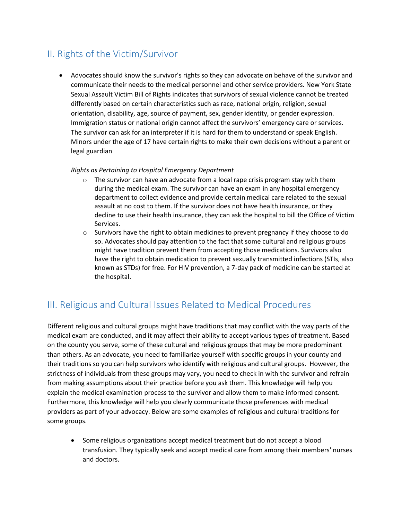# II. Rights of the Victim/Survivor

 Advocates should know the survivor's rights so they can advocate on behave of the survivor and communicate their needs to the medical personnel and other service providers. New York State Sexual Assault Victim Bill of Rights indicates that survivors of sexual violence cannot be treated differently based on certain characteristics such as race, national origin, religion, sexual orientation, disability, age, source of payment, sex, gender identity, or gender expression. Immigration status or national origin cannot affect the survivors' emergency care or services. The survivor can ask for an interpreter if it is hard for them to understand or speak English. Minors under the age of 17 have certain rights to make their own decisions without a parent or legal guardian

#### *Rights as Pertaining to Hospital Emergency Department*

- $\circ$  The survivor can have an advocate from a local rape crisis program stay with them during the medical exam. The survivor can have an exam in any hospital emergency department to collect evidence and provide certain medical care related to the sexual assault at no cost to them. If the survivor does not have health insurance, or they decline to use their health insurance, they can ask the hospital to bill the Office of Victim Services.
- $\circ$  Survivors have the right to obtain medicines to prevent pregnancy if they choose to do so. Advocates should pay attention to the fact that some cultural and religious groups might have tradition prevent them from accepting those medications. Survivors also have the right to obtain medication to prevent sexually transmitted infections (STIs, also known as STDs) for free. For HIV prevention, a 7-day pack of medicine can be started at the hospital.

## III. Religious and Cultural Issues Related to Medical Procedures

Different religious and cultural groups might have traditions that may conflict with the way parts of the medical exam are conducted, and it may affect their ability to accept various types of treatment. Based on the county you serve, some of these cultural and religious groups that may be more predominant than others. As an advocate, you need to familiarize yourself with specific groups in your county and their traditions so you can help survivors who identify with religious and cultural groups. However, the strictness of individuals from these groups may vary, you need to check in with the survivor and refrain from making assumptions about their practice before you ask them. This knowledge will help you explain the medical examination process to the survivor and allow them to make informed consent. Furthermore, this knowledge will help you clearly communicate those preferences with medical providers as part of your advocacy. Below are some examples of religious and cultural traditions for some groups.

 Some religious organizations accept medical treatment but do not accept a blood transfusion. They typically seek and accept medical care from among their members' nurses and doctors.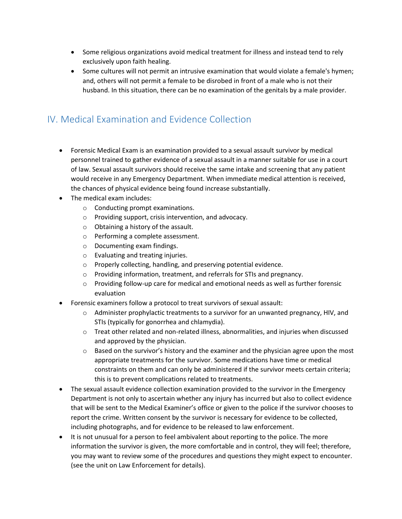- Some religious organizations avoid medical treatment for illness and instead tend to rely exclusively upon faith healing.
- Some cultures will not permit an intrusive examination that would violate a female's hymen; and, others will not permit a female to be disrobed in front of a male who is not their husband. In this situation, there can be no examination of the genitals by a male provider.

# IV. Medical Examination and Evidence Collection

- Forensic Medical Exam is an examination provided to a sexual assault survivor by medical personnel trained to gather evidence of a sexual assault in a manner suitable for use in a court of law. Sexual assault survivors should receive the same intake and screening that any patient would receive in any Emergency Department. When immediate medical attention is received, the chances of physical evidence being found increase substantially.
- The medical exam includes:
	- o Conducting prompt examinations.
	- o Providing support, crisis intervention, and advocacy.
	- o Obtaining a history of the assault.
	- o Performing a complete assessment.
	- o Documenting exam findings.
	- o Evaluating and treating injuries.
	- o Properly collecting, handling, and preserving potential evidence.
	- o Providing information, treatment, and referrals for STIs and pregnancy.
	- $\circ$  Providing follow-up care for medical and emotional needs as well as further forensic evaluation
- Forensic examiners follow a protocol to treat survivors of sexual assault:
	- $\circ$  Administer prophylactic treatments to a survivor for an unwanted pregnancy, HIV, and STIs (typically for gonorrhea and chlamydia).
	- $\circ$  Treat other related and non-related illness, abnormalities, and injuries when discussed and approved by the physician.
	- $\circ$  Based on the survivor's history and the examiner and the physician agree upon the most appropriate treatments for the survivor. Some medications have time or medical constraints on them and can only be administered if the survivor meets certain criteria; this is to prevent complications related to treatments.
- The sexual assault evidence collection examination provided to the survivor in the Emergency Department is not only to ascertain whether any injury has incurred but also to collect evidence that will be sent to the Medical Examiner's office or given to the police if the survivor chooses to report the crime. Written consent by the survivor is necessary for evidence to be collected, including photographs, and for evidence to be released to law enforcement.
- It is not unusual for a person to feel ambivalent about reporting to the police. The more information the survivor is given, the more comfortable and in control, they will feel; therefore, you may want to review some of the procedures and questions they might expect to encounter. (see the unit on Law Enforcement for details).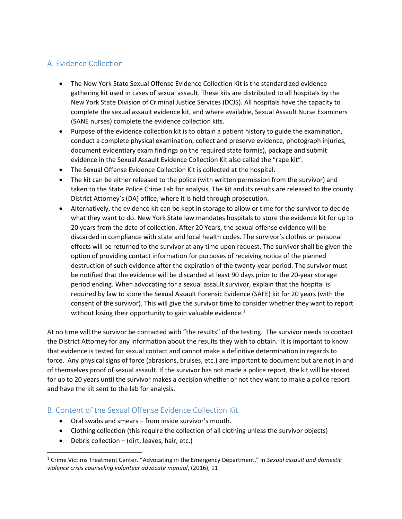## A. Evidence Collection

- The New York State Sexual Offense Evidence Collection Kit is the standardized evidence gathering kit used in cases of sexual assault. These kits are distributed to all hospitals by the New York State Division of Criminal Justice Services (DCJS). All hospitals have the capacity to complete the sexual assault evidence kit, and where available, Sexual Assault Nurse Examiners (SANE nurses) complete the evidence collection kits.
- Purpose of the evidence collection kit is to obtain a patient history to guide the examination, conduct a complete physical examination, collect and preserve evidence, photograph injuries, document evidentiary exam findings on the required state form(s), package and submit evidence in the Sexual Assault Evidence Collection Kit also called the "rape kit".
- The Sexual Offense Evidence Collection Kit is collected at the hospital.
- The kit can be either released to the police (with written permission from the survivor) and taken to the State Police Crime Lab for analysis. The kit and its results are released to the county District Attorney's (DA) office, where it is held through prosecution.
- Alternatively, the evidence kit can be kept in storage to allow or time for the survivor to decide what they want to do. New York State law mandates hospitals to store the evidence kit for up to 20 years from the date of collection. After 20 Years, the sexual offense evidence will be discarded in compliance with state and local health codes. The survivor's clothes or personal effects will be returned to the survivor at any time upon request. The survivor shall be given the option of providing contact information for purposes of receiving notice of the planned destruction of such evidence after the expiration of the twenty-year period. The survivor must be notified that the evidence will be discarded at least 90 days prior to the 20-year storage period ending. When advocating for a sexual assault survivor, explain that the hospital is required by law to store the Sexual Assault Forensic Evidence (SAFE) kit for 20 years (with the consent of the survivor). This will give the survivor time to consider whether they want to report without losing their opportunity to gain valuable evidence. $1$

At no time will the survivor be contacted with "the results" of the testing. The survivor needs to contact the District Attorney for any information about the results they wish to obtain. It is important to know that evidence is tested for sexual contact and cannot make a definitive determination in regards to force. Any physical signs of force (abrasions, bruises, etc.) are important to document but are not in and of themselves proof of sexual assault. If the survivor has not made a police report, the kit will be stored for up to 20 years until the survivor makes a decision whether or not they want to make a police report and have the kit sent to the lab for analysis.

## B. Content of the Sexual Offense Evidence Collection Kit

- Oral swabs and smears from inside survivor's mouth.
- Clothing collection (this require the collection of all clothing unless the survivor objects)
- Debris collection (dirt, leaves, hair, etc.)

l

<sup>1</sup> Crime Victims Treatment Center. "Advocating in the Emergency Department," in *Sexual assault and domestic violence crisis counseling volunteer advocate manual*, (2016), 11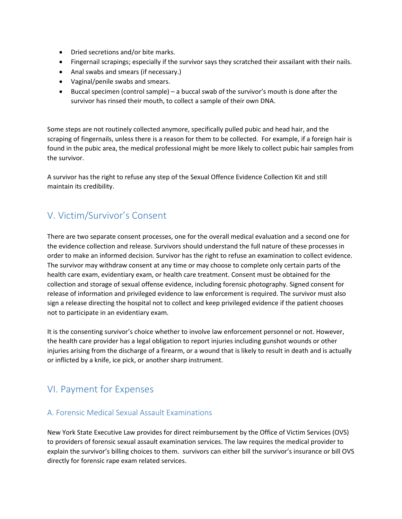- Dried secretions and/or bite marks.
- Fingernail scrapings; especially if the survivor says they scratched their assailant with their nails.
- Anal swabs and smears (if necessary.)
- Vaginal/penile swabs and smears.
- Buccal specimen (control sample) a buccal swab of the survivor's mouth is done after the survivor has rinsed their mouth, to collect a sample of their own DNA.

Some steps are not routinely collected anymore, specifically pulled pubic and head hair, and the scraping of fingernails, unless there is a reason for them to be collected. For example, if a foreign hair is found in the pubic area, the medical professional might be more likely to collect pubic hair samples from the survivor.

A survivor has the right to refuse any step of the Sexual Offence Evidence Collection Kit and still maintain its credibility.

# V. Victim/Survivor's Consent

There are two separate consent processes, one for the overall medical evaluation and a second one for the evidence collection and release. Survivors should understand the full nature of these processes in order to make an informed decision. Survivor has the right to refuse an examination to collect evidence. The survivor may withdraw consent at any time or may choose to complete only certain parts of the health care exam, evidentiary exam, or health care treatment. Consent must be obtained for the collection and storage of sexual offense evidence, including forensic photography. Signed consent for release of information and privileged evidence to law enforcement is required. The survivor must also sign a release directing the hospital not to collect and keep privileged evidence if the patient chooses not to participate in an evidentiary exam.

It is the consenting survivor's choice whether to involve law enforcement personnel or not. However, the health care provider has a legal obligation to report injuries including gunshot wounds or other injuries arising from the discharge of a firearm, or a wound that is likely to result in death and is actually or inflicted by a knife, ice pick, or another sharp instrument.

## VI. Payment for Expenses

#### A. Forensic Medical Sexual Assault Examinations

New York State Executive Law provides for direct reimbursement by the Office of Victim Services (OVS) to providers of forensic sexual assault examination services. The law requires the medical provider to explain the survivor's billing choices to them. survivors can either bill the survivor's insurance or bill OVS directly for forensic rape exam related services.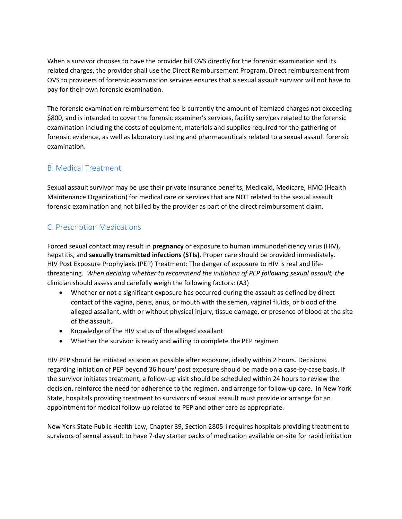When a survivor chooses to have the provider bill OVS directly for the forensic examination and its related charges, the provider shall use the Direct Reimbursement Program. Direct reimbursement from OVS to providers of forensic examination services ensures that a sexual assault survivor will not have to pay for their own forensic examination.

The forensic examination reimbursement fee is currently the amount of itemized charges not exceeding \$800, and is intended to cover the forensic examiner's services, facility services related to the forensic examination including the costs of equipment, materials and supplies required for the gathering of forensic evidence, as well as laboratory testing and pharmaceuticals related to a sexual assault forensic examination.

## B. Medical Treatment

Sexual assault survivor may be use their private insurance benefits, Medicaid, Medicare, HMO (Health Maintenance Organization) for medical care or services that are NOT related to the sexual assault forensic examination and not billed by the provider as part of the direct reimbursement claim.

## C. Prescription Medications

Forced sexual contact may result in **pregnancy** or exposure to human immunodeficiency virus (HIV), hepatitis, and **sexually transmitted infections (STIs)**. Proper care should be provided immediately. HIV Post Exposure Prophylaxis (PEP) Treatment: The danger of exposure to HIV is real and lifethreatening. *When deciding whether to recommend the initiation of PEP following sexual assault, the*  clinician should assess and carefully weigh the following factors: (A3)

- Whether or not a significant exposure has occurred during the assault as defined by direct contact of the vagina, penis, anus, or mouth with the semen, vaginal fluids, or blood of the alleged assailant, with or without physical injury, tissue damage, or presence of blood at the site of the assault.
- Knowledge of the HIV status of the alleged assailant
- Whether the survivor is ready and willing to complete the PEP regimen

HIV PEP should be initiated as soon as possible after exposure, ideally within 2 hours. Decisions regarding initiation of PEP beyond 36 hours' post exposure should be made on a case-by-case basis. If the survivor initiates treatment, a follow-up visit should be scheduled within 24 hours to review the decision, reinforce the need for adherence to the regimen, and arrange for follow-up care. In New York State, hospitals providing treatment to survivors of sexual assault must provide or arrange for an appointment for medical follow-up related to PEP and other care as appropriate.

[New York State Public Health Law, Chapter 39, Section 2805-i](http://codes.findlaw.com/ny/public-health-law/pbh-sect-2805-i.html) requires hospitals providing treatment to survivors of sexual assault to have 7-day starter packs of medication available on-site for rapid initiation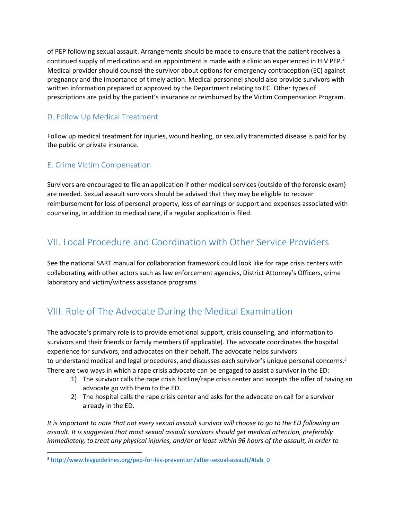of PEP following sexual assault. Arrangements should be made to ensure that the patient receives a continued supply of medication and an appointment is made with a clinician experienced in HIV PEP.<sup>2</sup> Medical provider should counsel the survivor about options for emergency contraception (EC) against pregnancy and the importance of timely action. Medical personnel should also provide survivors with written information prepared or approved by the Department relating to EC. Other types of prescriptions are paid by the patient's insurance or reimbursed by the Victim Compensation Program.

## D. Follow Up Medical Treatment

Follow up medical treatment for injuries, wound healing, or sexually transmitted disease is paid for by the public or private insurance.

## E. Crime Victim Compensation

l

Survivors are encouraged to file an application if other medical services (outside of the forensic exam) are needed. Sexual assault survivors should be advised that they may be eligible to recover reimbursement for loss of personal property, loss of earnings or support and expenses associated with counseling, in addition to medical care, if a regular application is filed.

## VII. Local Procedure and Coordination with Other Service Providers

See the national SART manual for collaboration framework could look like for rape crisis centers with collaborating with other actors such as law enforcement agencies, District Attorney's Officers, crime laboratory and victim/witness assistance programs

# VIII. Role of The Advocate During the Medical Examination

The advocate's primary role is to provide emotional support, crisis counseling, and information to survivors and their friends or family members (if applicable). The advocate coordinates the hospital experience for survivors, and advocates on their behalf. The advocate helps survivors to understand medical and legal procedures, and discusses each survivor's unique personal concerns.<sup>3</sup> There are two ways in which a rape crisis advocate can be engaged to assist a survivor in the ED:

- 1) The survivor calls the rape crisis hotline/rape crisis center and accepts the offer of having an advocate go with them to the ED.
- 2) The hospital calls the rape crisis center and asks for the advocate on call for a survivor already in the ED.

*It is important to note that not every sexual assault* survivor *will choose to go to the ED following an assault. It is suggested that most sexual assault survivors should get medical attention, preferably immediately, to treat any physical injuries, and/or at least within 96 hours of the assault, in order to* 

<sup>&</sup>lt;sup>2</sup> [http://www.hivguidelines.org/pep-for-hiv-prevention/after-sexual-assault/#tab\\_0](http://www.hivguidelines.org/pep-for-hiv-prevention/after-sexual-assault/#tab_0)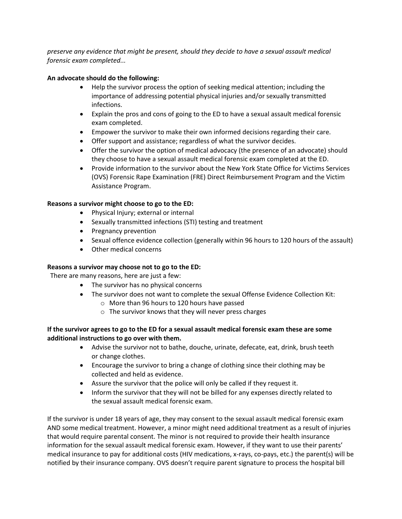*preserve any evidence that might be present, should they decide to have a sexual assault medical forensic exam completed...*

#### **An advocate should do the following:**

- Help the survivor process the option of seeking medical attention; including the importance of addressing potential physical injuries and/or sexually transmitted infections.
- Explain the pros and cons of going to the ED to have a sexual assault medical forensic exam completed.
- Empower the survivor to make their own informed decisions regarding their care.
- Offer support and assistance; regardless of what the survivor decides.
- Offer the survivor the option of medical advocacy (the presence of an advocate) should they choose to have a sexual assault medical forensic exam completed at the ED.
- Provide information to the survivor about the New York State Office for Victims Services (OVS) Forensic Rape Examination (FRE) Direct Reimbursement Program and the Victim Assistance Program.

#### **Reasons a survivor might choose to go to the ED:**

- Physical Injury; external or internal
- Sexually transmitted infections (STI) testing and treatment
- Pregnancy prevention
- Sexual offence evidence collection (generally within 96 hours to 120 hours of the assault)
- Other medical concerns

#### **Reasons a survivor may choose not to go to the ED:**

There are many reasons, here are just a few:

- The survivor has no physical concerns
- The survivor does not want to complete the sexual Offense Evidence Collection Kit:
	- o More than 96 hours to 120 hours have passed
	- o The survivor knows that they will never press charges

#### **If the survivor agrees to go to the ED for a sexual assault medical forensic exam these are some additional instructions to go over with them.**

- Advise the survivor not to bathe, douche, urinate, defecate, eat, drink, brush teeth or change clothes.
- Encourage the survivor to bring a change of clothing since their clothing may be collected and held as evidence.
- Assure the survivor that the police will only be called if they request it.
- Inform the survivor that they will not be billed for any expenses directly related to the sexual assault medical forensic exam.

If the survivor is under 18 years of age, they may consent to the sexual assault medical forensic exam AND some medical treatment. However, a minor might need additional treatment as a result of injuries that would require parental consent. The minor is not required to provide their health insurance information for the sexual assault medical forensic exam. However, if they want to use their parents' medical insurance to pay for additional costs (HIV medications, x-rays, co-pays, etc.) the parent(s) will be notified by their insurance company. OVS doesn't require parent signature to process the hospital bill